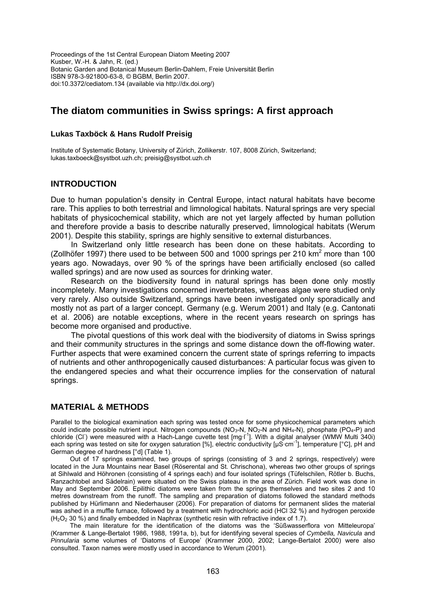Proceedings of the 1st Central European Diatom Meeting 2007 Kusber, W.-H. & Jahn, R. (ed.) Botanic Garden and Botanical Museum Berlin-Dahlem, Freie Universität Berlin ISBN 978-3-921800-63-8, © BGBM, Berlin 2007. doi:10.3372/cediatom.134 (available via http://dx.doi.org/)

# **The diatom communities in Swiss springs: A first approach**

#### **Lukas Taxböck & Hans Rudolf Preisig**

Institute of Systematic Botany, University of Zürich, Zollikerstr. 107, 8008 Zürich, Switzerland; lukas.taxboeck@systbot.uzh.ch; preisig@systbot.uzh.ch

## **INTRODUCTION**

Due to human population's density in Central Europe, intact natural habitats have become rare. This applies to both terrestrial and limnological habitats. Natural springs are very special habitats of physicochemical stability, which are not yet largely affected by human pollution and therefore provide a basis to describe naturally preserved, limnological habitats (Werum 2001). Despite this stability, springs are highly sensitive to external disturbances.

In Switzerland only little research has been done on these habitats. According to (Zollhöfer 1997) there used to be between 500 and 1000 springs per 210  $km^2$  more than 100 years ago. Nowadays, over 90 % of the springs have been artificially enclosed (so called walled springs) and are now used as sources for drinking water.

Research on the biodiversity found in natural springs has been done only mostly incompletely. Many investigations concerned invertebrates, whereas algae were studied only very rarely. Also outside Switzerland, springs have been investigated only sporadically and mostly not as part of a larger concept. Germany (e.g. Werum 2001) and Italy (e.g. Cantonati et al. 2006) are notable exceptions, where in the recent years research on springs has become more organised and productive.

The pivotal questions of this work deal with the biodiversity of diatoms in Swiss springs and their community structures in the springs and some distance down the off-flowing water. Further aspects that were examined concern the current state of springs referring to impacts of nutrients and other anthropogenically caused disturbances: A particular focus was given to the endangered species and what their occurrence implies for the conservation of natural springs.

## **MATERIAL & METHODS**

Parallel to the biological examination each spring was tested once for some physicochemical parameters which could indicate possible nutrient input. Nitrogen compounds  $(NO<sub>3</sub>-N, NO<sub>2</sub>-N$  and  $NH<sub>4</sub>-N)$ , phosphate  $(PO<sub>4</sub>-P)$  and chloride (CI) were measured with a Hach-Lange cuvette test [mg·l<sup>-1</sup>]. With a digital analyser (WMW Multi 340i) each spring was tested on site for oxygen saturation [%], electric conductivity [μS·cm-1], temperature [°C], pH and German degree of hardness [°d] (Table 1).

Out of 17 springs examined, two groups of springs (consisting of 3 and 2 springs, respectively) were located in the Jura Mountains near Basel (Röserental and St. Chrischona), whereas two other groups of springs at Sihlwald and Höhronen (consisting of 4 springs each) and four isolated springs (Tüfelschilen, Rötler b. Buchs, Ranzachtobel and Sädelrain) were situated on the Swiss plateau in the area of Zürich. Field work was done in May and September 2006. Epilithic diatoms were taken from the springs themselves and two sites 2 and 10 metres downstream from the runoff. The sampling and preparation of diatoms followed the standard methods published by Hürlimann and Niederhauser (2006). For preparation of diatoms for permanent slides the material was ashed in a muffle furnace, followed by a treatment with hydrochloric acid (HCl 32 %) and hydrogen peroxide  $(H<sub>2</sub>O<sub>2</sub> 30 %)$  and finally embedded in Naphrax (synthetic resin with refractive index of 1.7).

The main literature for the identification of the diatoms was the 'Süßwasserflora von Mitteleuropa' (Krammer & Lange-Bertalot 1986, 1988, 1991a, b), but for identifying several species of *Cymbella, Navicula* and *Pinnularia* some volumes of 'Diatoms of Europe' (Krammer 2000, 2002; Lange-Bertalot 2000) were also consulted. Taxon names were mostly used in accordance to Werum (2001).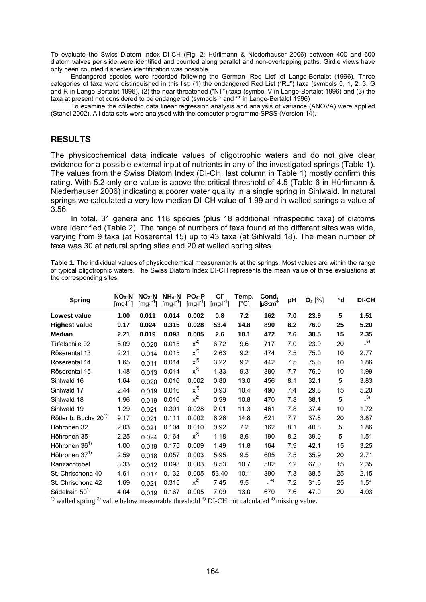To evaluate the Swiss Diatom Index DI-CH (Fig. 2; Hürlimann & Niederhauser 2006) between 400 and 600 diatom valves per slide were identified and counted along parallel and non-overlapping paths. Girdle views have only been counted if species identification was possible.

Endangered species were recorded following the German 'Red List' of Lange-Bertalot (1996). Three categories of taxa were distinguished in this list: (1) the endangered Red List ("RL") taxa (symbols 0, 1, 2, 3, G and R in Lange-Bertalot 1996), (2) the near-threatened ("NT") taxa (symbol V in Lange-Bertalot 1996) and (3) the taxa at present not considered to be endangered (symbols \* and \*\* in Lange-Bertalot 1996)

To examine the collected data linear regression analysis and analysis of variance (ANOVA) were applied (Stahel 2002). All data sets were analysed with the computer programme SPSS (Version 14).

# **RESULTS**

The physicochemical data indicate values of oligotrophic waters and do not give clear evidence for a possible external input of nutrients in any of the investigated springs (Table 1). The values from the Swiss Diatom Index (DI-CH, last column in Table 1) mostly confirm this rating. With 5.2 only one value is above the critical threshold of 4.5 (Table 6 in Hürlimann & Niederhauser 2006) indicating a poorer water quality in a single spring in Sihlwald. In natural springs we calculated a very low median DI-CH value of 1.99 and in walled springs a value of 3.56.

In total, 31 genera and 118 species (plus 18 additional infraspecific taxa) of diatoms were identified (Table 2). The range of numbers of taxa found at the different sites was wide, varying from 9 taxa (at Röserental 15) up to 43 taxa (at Sihlwald 18). The mean number of taxa was 30 at natural spring sites and 20 at walled spring sites.

| Table 1. The individual values of physicochemical measurements at the springs. Most values are within the range |  |  |  |
|-----------------------------------------------------------------------------------------------------------------|--|--|--|
| of typical oligotrophic waters. The Swiss Diatom Index DI-CH represents the mean value of three evaluations at  |  |  |  |
| the corresponding sites.                                                                                        |  |  |  |

| <b>Spring</b>                    | $NO3-N$<br>$[mg-1]$ | $NO2$ -N<br>[mg <sup>T</sup> ] | $NH_4$ -N<br>$[mg-1]$ | $PO4-P$<br>$[mg-1]$ | <b>CI</b><br>$[mg-1]$ | Temp.<br>[°C] | Cond.<br>[µS·an <sup>-1</sup> ] | pH  | $O_2$ [%] | °d | <b>DI-CH</b> |
|----------------------------------|---------------------|--------------------------------|-----------------------|---------------------|-----------------------|---------------|---------------------------------|-----|-----------|----|--------------|
| Lowest value                     | 1.00                | 0.011                          | 0.014                 | 0.002               | 0.8                   | 7.2           | 162                             | 7.0 | 23.9      | 5  | 1.51         |
| <b>Highest value</b>             | 9.17                | 0.024                          | 0.315                 | 0.028               | 53.4                  | 14.8          | 890                             | 8.2 | 76.0      | 25 | 5.20         |
| <b>Median</b>                    | 2.21                | 0.019                          | 0.093                 | 0.005               | 2.6                   | 10.1          | 472                             | 7.6 | 38.5      | 15 | 2.35         |
| Tüfelschile 02                   | 5.09                | 0.020                          | 0.015                 | $x^{2)}$            | 6.72                  | 9.6           | 717                             | 7.0 | 23.9      | 20 | $-3)$        |
| Röserental 13                    | 2.21                | 0.014                          | 0.015                 | $x^{2)}$            | 2.63                  | 9.2           | 474                             | 7.5 | 75.0      | 10 | 2.77         |
| Röserental 14                    | 1.65                | 0.011                          | 0.014                 | $x^{2)}$            | 3.22                  | 9.2           | 442                             | 7.5 | 75.6      | 10 | 1.86         |
| Röserental 15                    | 1.48                | 0.013                          | 0.014                 | $x^{2)}$            | 1.33                  | 9.3           | 380                             | 7.7 | 76.0      | 10 | 1.99         |
| Sihlwald 16                      | 1.64                | 0.020                          | 0.016                 | 0.002               | 0.80                  | 13.0          | 456                             | 8.1 | 32.1      | 5  | 3.83         |
| Sihlwald 17                      | 2.44                | 0.019                          | 0.016                 | $x^{2)}$            | 0.93                  | 10.4          | 490                             | 7.4 | 29.8      | 15 | 5.20         |
| Sihlwald 18                      | 1.96                | 0.019                          | 0.016                 | $x^{2}$             | 0.99                  | 10.8          | 470                             | 7.8 | 38.1      | 5  | $-3)$        |
| Sihlwald 19                      | 1.29                | 0.021                          | 0.301                 | 0.028               | 2.01                  | 11.3          | 461                             | 7.8 | 37.4      | 10 | 1.72         |
| Rötler b. Buchs 20 <sup>1)</sup> | 9.17                | 0.021                          | 0.111                 | 0.002               | 6.26                  | 14.8          | 621                             | 7.7 | 37.6      | 20 | 3.87         |
| Höhronen 32                      | 2.03                | 0.021                          | 0.104                 | 0.010               | 0.92                  | 7.2           | 162                             | 8.1 | 40.8      | 5  | 1.86         |
| Höhronen 35                      | 2.25                | 0.024                          | 0.164                 | $x^{2}$             | 1.18                  | 8.6           | 190                             | 8.2 | 39.0      | 5  | 1.51         |
| Höhronen 36 <sup>1)</sup>        | 1.00                | 0.019                          | 0.175                 | 0.009               | 1.49                  | 11.8          | 164                             | 7.9 | 42.1      | 15 | 3.25         |
| Höhronen 37 <sup>1)</sup>        | 2.59                | 0.018                          | 0.057                 | 0.003               | 5.95                  | 9.5           | 605                             | 7.5 | 35.9      | 20 | 2.71         |
| Ranzachtobel                     | 3.33                | 0.012                          | 0.093                 | 0.003               | 8.53                  | 10.7          | 582                             | 7.2 | 67.0      | 15 | 2.35         |
| St. Chrischona 40                | 4.61                | 0.017                          | 0.132                 | 0.005               | 53.40                 | 10.1          | 890                             | 7.3 | 38.5      | 25 | 2.15         |
| St. Chrischona 42                | 1.69                | 0.021                          | 0.315                 | $x^{2)}$            | 7.45                  | 9.5           | $-$ <sup>4)</sup>               | 7.2 | 31.5      | 25 | 1.51         |
| Sädelrain 50 <sup>1)</sup>       | 4.04                | 0.019                          | 0.167                 | 0.005               | 7.09                  | 13.0          | 670                             | 7.6 | 47.0      | 20 | 4.03         |

<sup>1)</sup> walled spring <sup>2)</sup> value below measurable threshold <sup>3</sup>) DI-CH not calculated <sup>4)</sup> missing value.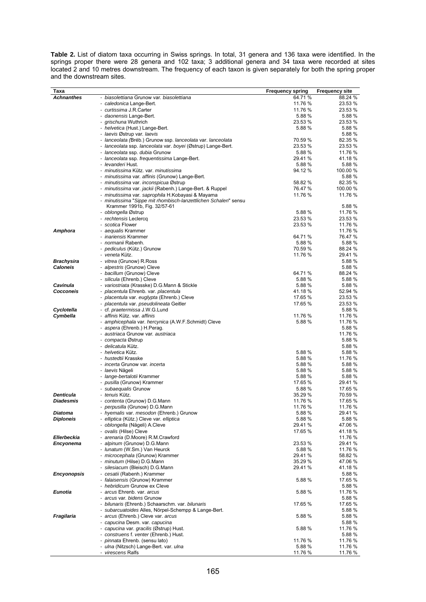**Table 2.** List of diatom taxa occurring in Swiss springs. In total, 31 genera and 136 taxa were identified. In the springs proper there were 28 genera and 102 taxa; 3 additional genera and 34 taxa were recorded at sites located 2 and 10 metres downstream. The frequency of each taxon is given separately for both the spring proper and the downstream sites.

| Taxa                  |                                                                                                               | <b>Frequency spring</b> | <b>Frequency site</b> |
|-----------------------|---------------------------------------------------------------------------------------------------------------|-------------------------|-----------------------|
| <b>Achnanthes</b>     | - biasolettiana Grunow var. biasolettiana                                                                     | 64.71 %                 | 88.24 %               |
|                       | - caledonica Lange-Bert.                                                                                      | 11.76 %                 | 23.53 %               |
|                       | - curtissima J.R.Carter                                                                                       | 11.76 %                 | 23.53 %               |
|                       | - daonensis Lange-Bert.                                                                                       | 5.88%                   | 5.88%                 |
|                       | - grischuna Wuthrich                                                                                          | 23.53 %                 | 23.53 %               |
|                       | - helvetica (Hust.) Lange-Bert.<br>- laevis Østrup var. laevis                                                | 5.88 %                  | 5.88 %<br>5.88 %      |
|                       | - lanceolata (Bréb.) Grunow ssp. lanceolata var. lanceolata                                                   | 70.59 %                 | 82.35 %               |
|                       | - lanceolata ssp. lanceolata var. boyei (Østrup) Lange-Bert.                                                  | 23.53 %                 | 23.53 %               |
|                       | - lanceolata ssp. dubia Grunow                                                                                | 5.88 %                  | 11.76 %               |
|                       | - lanceolata ssp. frequentissima Lange-Bert.                                                                  | 29.41 %                 | 41.18 %               |
|                       | - levanderi Hust.                                                                                             | 5.88%                   | 5.88 %                |
|                       | - minutissima Kütz. var. minutissima                                                                          | 94.12 %                 | 100.00 %              |
|                       | - minutissima var. affinis (Grunow) Lange-Bert.                                                               |                         | 5.88 %                |
|                       | - minutissima var. inconspicua Østrup                                                                         | 58.82 %                 | 82.35 %               |
|                       | - minutissima var. jackii (Rabenh.) Lange-Bert. & Ruppel<br>- minutissima var. saprophila H.Kobayasi & Mayama | 76.47 %<br>11.76 %      | 100.00 %<br>11.76 %   |
|                       | - minutissima "Sippe mit rhombisch-lanzettlichen Schalen" sensu                                               |                         |                       |
|                       | Krammer 1991b, Fig. 32/57-61                                                                                  |                         | 5.88 %                |
|                       | - oblongella Østrup                                                                                           | 5.88 %                  | 11.76 %               |
|                       | - rechtensis Leclercq                                                                                         | 23.53 %                 | 23.53 %               |
|                       | - scotica Flower                                                                                              | 23.53 %                 | 11.76 %               |
| Amphora               | - aequalis Krammer                                                                                            | 64.71%                  | 11.76 %               |
|                       | - <i>inariensis</i> Krammer<br>- normanii Rabenh.                                                             | 5.88 %                  | 76.47 %<br>5.88 %     |
|                       | - pediculus (Kütz.) Grunow                                                                                    | 70.59 %                 | 88.24 %               |
|                       | - veneta Kütz.                                                                                                | 11.76 %                 | 29.41 %               |
| <b>Brachysira</b>     | - vitrea (Grunow) R.Ross                                                                                      |                         | 5.88 %                |
| <b>Caloneis</b>       | - alpestris (Grunow) Cleve                                                                                    |                         | 5.88 %                |
|                       | - bacillum (Grunow) Cleve                                                                                     | 64.71 %                 | 88.24 %               |
|                       | - silicula (Ehrenb.) Cleve                                                                                    | 5.88 %                  | 5.88 %                |
| Cavinula<br>Cocconeis | - variostriata (Krasske) D.G.Mann & Stickle                                                                   | 5.88 %<br>41.18 %       | 5.88 %                |
|                       | - placentula Ehrenb. var. placentula<br>- placentula var. euglypta (Ehrenb.) Cleve                            | 17.65 %                 | 52.94 %<br>23.53 %    |
|                       | - placentula var. pseudolineata Geitler                                                                       | 17.65 %                 | 23.53 %               |
| Cyclotella            | - cf. <i>praetermissa</i> J.W.G.Lund                                                                          |                         | 5.88 %                |
| Cymbella              | - affinis Kütz. var. affinis                                                                                  | 11.76 %                 | 11.76 %               |
|                       | - amphicephala var. hercynica (A.W.F.Schmidt) Cleve                                                           | 5.88 %                  | 11.76 %               |
|                       | - aspera (Ehrenb.) H.Perag.                                                                                   |                         | 5.88 %                |
|                       | - austriaca Grunow var. austriaca                                                                             |                         | 11.76 %               |
|                       | - <i>compacta</i> Østrup<br>- delicatula Kütz.                                                                |                         | 5.88 %<br>5.88 %      |
|                       | - helvetica Kütz.                                                                                             | 5.88 %                  | 5.88 %                |
|                       | - hustedtii Krasske                                                                                           | 5.88 %                  | 11.76 %               |
|                       | - incerta Grunow var. incerta                                                                                 | 5.88 %                  | 5.88 %                |
|                       | - <i>laevis</i> Nägeli                                                                                        | 5.88 %                  | 5.88 %                |
|                       | - lange-bertalotii Krammer                                                                                    | 5.88 %                  | 5.88 %                |
|                       | - pusilla (Grunow) Krammer                                                                                    | 17.65 %<br>5.88 %       | 29.41 %<br>17.65 %    |
| <b>Denticula</b>      | - subaequalis Grunow<br>- tenuis Kütz.                                                                        | 35.29 %                 | 70.59 %               |
| <b>Diadesmis</b>      | - contenta (Grunow) D.G.Mann                                                                                  | 11.76 %                 | 17.65 %               |
|                       | perpusilla (Grunow) D.G.Mann                                                                                  | 11.76 %                 | 11.76 %               |
| Diatoma               | - hyemalis var. mesodon (Ehrenb.) Grunow                                                                      | 5.88 %                  | 29.41 %               |
| <b>Diploneis</b>      | - elliptica (Kütz.) Cleve var. elliptica                                                                      | 5.88 %                  | 5.88 %                |
|                       | - oblongella (Nägeli) A.Cleve                                                                                 | 29.41 %                 | 47.06 %               |
| <b>Ellerbeckia</b>    | - ovalis (Hilse) Cleve                                                                                        | 17.65 %                 | 41.18 %               |
| Encyonema             | - arenaria (D.Moore) R.M.Crawford<br>- alpinum (Grunow) D.G.Mann                                              | 23.53 %                 | 11.76 %<br>29.41 %    |
|                       | - lunatum (W.Sm.) Van Heurck                                                                                  | 5.88 %                  | 11.76 %               |
|                       | - microcephala (Grunow) Krammer                                                                               | 29.41 %                 | 58.82 %               |
|                       | - minutum (Hilse) D.G.Mann                                                                                    | 35.29 %                 | 47.06 %               |
|                       | - silesiacum (Bleisch) D.G.Mann                                                                               | 29.41 %                 | 41.18 %               |
| <b>Encyonopsis</b>    | - cesatii (Rabenh.) Krammer                                                                                   |                         | 5.88 %                |
|                       | - falaisensis (Grunow) Krammer                                                                                | 5.88 %                  | 17.65 %               |
| Eunotia               | - hebridicum Grunow ex Cleve<br>- arcus Ehrenb. var. arcus                                                    | 5.88 %                  | 5.88%<br>11.76 %      |
|                       | - arcus var. bidens Grunow                                                                                    |                         | 5.88 %                |
|                       | - bilunaris (Ehrenb.) Schaarschm. var. bilunaris                                                              | 17.65 %                 | 17.65 %               |
|                       | - subarcuatoides Alles, Nörpel-Schempp & Lange-Bert.                                                          |                         | 5.88 %                |
| Fragilaria            | - arcus (Ehrenb.) Cleve var. arcus                                                                            | 5.88 %                  | 5.88 %                |
|                       | - capucina Desm. var. capucina                                                                                |                         | 5.88 %                |
|                       | - capucina var. gracilis (Østrup) Hust.                                                                       | 5.88 %                  | 11.76 %               |
|                       | - construens f. venter (Ehrenb.) Hust.                                                                        |                         | 5.88 %                |
|                       | - <i>pinnata</i> Ehrenb. (sensu lato)<br>- ulna (Nitzsch) Lange-Bert. var. ulna                               | 11.76 %<br>5.88 %       | 11.76 %<br>11.76 %    |
|                       | - virescens Ralfs                                                                                             | 11.76 %                 | 11.76 %               |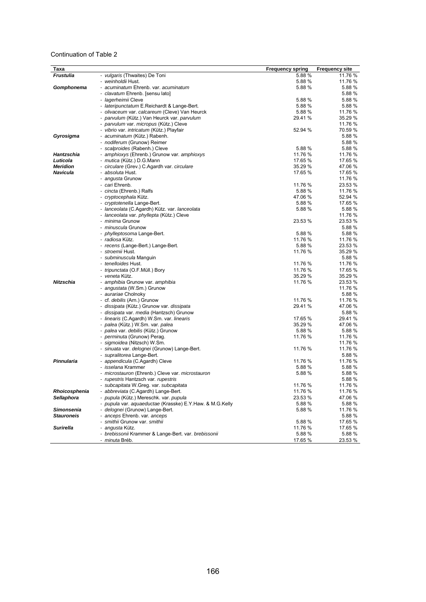#### Continuation of Table 2

| Taxa              |                                                           | <b>Frequency spring</b> | <b>Frequency site</b> |
|-------------------|-----------------------------------------------------------|-------------------------|-----------------------|
| <b>Frustulia</b>  | - vulgaris (Thwaites) De Toni                             | 5.88 %                  | 11.76 %               |
|                   | - weinholdii Hust.                                        | 5.88 %                  | 11.76 %               |
| Gomphonema        | - acuminatum Ehrenb, var. acuminatum                      | 5.88 %                  | 5.88 %                |
|                   | - clavatum Ehrenb. [sensu lato]                           |                         | 5.88 %                |
|                   | - <i>lagerheimii</i> Cleve                                | 5.88 %                  | 5.88 %                |
|                   | - lateripunctatum E.Reichardt & Lange-Bert.               | 5.88 %                  | 5.88 %                |
|                   | - olivaceum var. calcareum (Cleve) Van Heurck             | 5.88 %                  | 11.76 %               |
|                   | - parvulum (Kütz.) Van Heurck var. parvulum               | 29.41 %                 | 35.29 %               |
|                   | - parvulum var. micropus (Kütz.) Cleve                    |                         | 11.76 %               |
|                   | - vibrio var. intricatum (Kütz.) Playfair                 | 52.94 %                 | 70.59 %               |
| Gyrosigma         | - acuminatum (Kütz.) Rabenh.                              |                         | 5.88 %                |
|                   | - nodiferum (Grunow) Reimer                               |                         | 5.88 %                |
|                   | - scalproides (Rabenh.) Cleve                             | 5.88 %                  | 5.88 %                |
| Hantzschia        | - amphioxys (Ehrenb.) Grunow var. amphioxys               | 11.76 %                 | 11.76 %               |
| Luticola          | - mutica (Kütz.) D.G.Mann                                 | 17.65 %                 | 17.65 %               |
| <b>Meridion</b>   | - circulare (Grev.) C.Agardh var. circulare               | 35.29 %                 | 47.06 %               |
| <b>Navicula</b>   | <i>- absoluta</i> Hust.                                   | 17.65 %                 | 17.65 %               |
|                   | - angusta Grunow                                          |                         | 11.76 %               |
|                   | - cari Ehrenb.                                            | 11.76 %                 | 23.53 %               |
|                   | - cincta (Ehrenb.) Ralfs                                  | 5.88 %                  | 11.76 %               |
|                   | - cryptocephala Kütz.                                     | 47.06 %                 | 52.94 %               |
|                   | - cryptotenella Lange-Bert.                               | 5.88 %                  | 17.65 %               |
|                   | - lanceolata (C.Agardh) Kütz. var. lanceolata             | 5.88 %                  | 5.88 %                |
|                   | - lanceolata var. phyllepta (Kütz.) Cleve                 |                         | 11.76 %               |
|                   | - minima Grunow                                           | 23.53 %                 | 23.53 %               |
|                   | - minuscula Grunow                                        |                         | 5.88 %                |
|                   | - phylleptosoma Lange-Bert.                               | 5.88 %                  | 5.88 %                |
|                   | - radiosa Kütz.                                           | 11.76 %                 | 11.76 %               |
|                   | - recens (Lange-Bert.) Lange-Bert.                        | 5.88 %                  | 23.53 %               |
|                   | - stroemii Hust.                                          | 11.76 %                 | 35.29 %               |
|                   | - subminuscula Manquin                                    |                         | 5.88 %                |
|                   | - tenelloides Hust.                                       | 11.76 %                 | 11.76 %               |
|                   | - tripunctata (O.F.Müll.) Bory                            | 11.76 %                 | 17.65 %               |
|                   | - veneta Kütz.                                            | 35.29 %                 | 35.29 %               |
| <b>Nitzschia</b>  | - amphibia Grunow var. amphibia                           | 11.76 %                 | 23.53 %               |
|                   | - angustata (W.Sm.) Grunow                                |                         | 11.76 %<br>5.88 %     |
|                   | - aurariae Cholnoky<br>- cf. <i>debilis</i> (Arn.) Grunow | 11.76 %                 | 11.76 %               |
|                   | - dissipata (Kütz.) Grunow var. dissipata                 | 29.41 %                 | 47.06 %               |
|                   | - dissipata var. media (Hantzsch) Grunow                  |                         | 5.88 %                |
|                   | - linearis (C.Agardh) W.Sm. var. linearis                 | 17.65 %                 | 29.41 %               |
|                   | - palea (Kütz.) W.Sm. var. palea                          | 35.29 %                 | 47.06 %               |
|                   | - palea var. debilis (Kütz.) Grunow                       | 5.88 %                  | 5.88 %                |
|                   | - <i>perminuta</i> (Grunow) Perag.                        | 11.76 %                 | 11.76 %               |
|                   | - sigmoidea (Nitzsch) W.Sm.                               |                         | 11.76 %               |
|                   | - sinuata var. delognei (Grunow) Lange-Bert.              | 11.76 %                 | 11.76 %               |
|                   | - supralitorea Lange-Bert.                                |                         | 5.88 %                |
| Pinnularia        | - appendicula (C.Agardh) Cleve                            | 11.76 %                 | 11.76 %               |
|                   | - <i>isselana</i> Krammer                                 | 5.88 %                  | 5.88 %                |
|                   | - microstauron (Ehrenb.) Cleve var. microstauron          | 5.88%                   | 5.88 %                |
|                   | - rupestris Hantzsch var. rupestris                       |                         | 5.88 %                |
|                   | - subcapitata W.Greg. var. subcapitata                    | 11.76 %                 | 11.76 %               |
| Rhoicosphenia     | - abbreviata (C.Agardh) Lange-Bert.                       | 11.76 %                 | 11.76 %               |
| Sellaphora        | - pupula (Kütz.) Mereschk. var. pupula                    | 23.53 %                 | 47.06 %               |
|                   | - pupula var. aquaeductae (Krasske) E.Y.Haw. & M.G.Kelly  | 5.88 %                  | 5.88 %                |
| <b>Simonsenia</b> | - delognei (Grunow) Lange-Bert.                           | 5.88 %                  | 11.76 %               |
| <b>Stauroneis</b> | - anceps Ehrenb. var. anceps                              |                         | 5.88 %                |
|                   | - smithii Grunow var. smithii                             | 5.88 %                  | 17.65 %               |
| <b>Surirella</b>  | - angusta Kütz.                                           | 11.76 %                 | 17.65 %               |
|                   | - brebissonii Krammer & Lange-Bert. var. brebissonii      | 5.88 %                  | 5.88 %                |
|                   | - minuta Bréb.                                            | 17.65 %                 | 23.53 %               |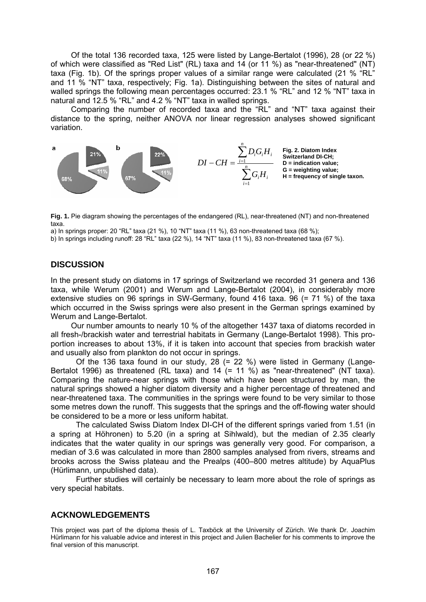Of the total 136 recorded taxa, 125 were listed by Lange-Bertalot (1996), 28 (or 22 %) of which were classified as "Red List" (RL) taxa and 14 (or 11 %) as "near-threatened" (NT) taxa (Fig. 1b). Of the springs proper values of a similar range were calculated (21 % "RL" and 11 % "NT" taxa, respectively; Fig. 1a). Distinguishing between the sites of natural and walled springs the following mean percentages occurred: 23.1 % "RL" and 12 % "NT" taxa in natural and 12.5 % "RL" and 4.2 % "NT" taxa in walled springs.

Comparing the number of recorded taxa and the "RL" and "NT" taxa against their distance to the spring, neither ANOVA nor linear regression analyses showed significant variation.



**Fig. 1.** Pie diagram showing the percentages of the endangered (RL), near-threatened (NT) and non-threatened taxa.

a) In springs proper: 20 "RL" taxa (21 %), 10 "NT" taxa (11 %), 63 non-threatened taxa (68 %);

b) In springs including runoff: 28 "RL" taxa (22 %), 14 "NT" taxa (11 %), 83 non-threatened taxa (67 %).

## **DISCUSSION**

In the present study on diatoms in 17 springs of Switzerland we recorded 31 genera and 136 taxa, while Werum (2001) and Werum and Lange-Bertalot (2004), in considerably more extensive studies on 96 springs in SW-Germany, found 416 taxa. 96 (= 71 %) of the taxa which occurred in the Swiss springs were also present in the German springs examined by Werum and Lange-Bertalot.

Our number amounts to nearly 10 % of the altogether 1437 taxa of diatoms recorded in all fresh-/brackish water and terrestrial habitats in Germany (Lange-Bertalot 1998). This proportion increases to about 13%, if it is taken into account that species from brackish water and usually also from plankton do not occur in springs.

Of the 136 taxa found in our study, 28 (= 22 %) were listed in Germany (Lange-Bertalot 1996) as threatened (RL taxa) and 14 (= 11 %) as "near-threatened" (NT taxa). Comparing the nature-near springs with those which have been structured by man, the natural springs showed a higher diatom diversity and a higher percentage of threatened and near-threatened taxa. The communities in the springs were found to be very similar to those some metres down the runoff. This suggests that the springs and the off-flowing water should be considered to be a more or less uniform habitat.

The calculated Swiss Diatom Index DI-CH of the different springs varied from 1.51 (in a spring at Höhronen) to 5.20 (in a spring at Sihlwald), but the median of 2.35 clearly indicates that the water quality in our springs was generally very good. For comparison, a median of 3.6 was calculated in more than 2800 samples analysed from rivers, streams and brooks across the Swiss plateau and the Prealps (400–800 metres altitude) by AquaPlus (Hürlimann, unpublished data).

Further studies will certainly be necessary to learn more about the role of springs as very special habitats.

## **ACKNOWLEDGEMENTS**

This project was part of the diploma thesis of L. Taxböck at the University of Zürich. We thank Dr. Joachim Hürlimann for his valuable advice and interest in this project and Julien Bachelier for his comments to improve the final version of this manuscript.